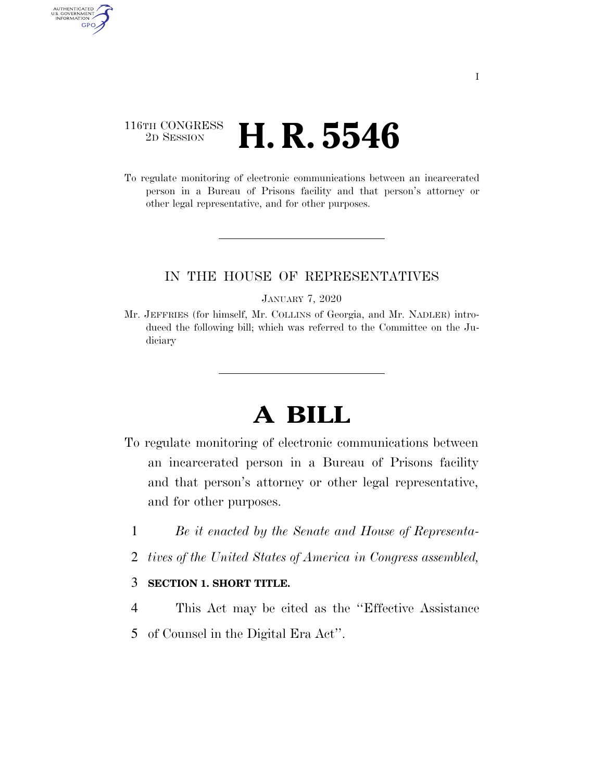### 116TH CONGRESS <sup>2D SESSION</sup> **H. R. 5546**

AUTHENTICATED<br>U.S. GOVERNMENT<br>INFORMATION GPO

> To regulate monitoring of electronic communications between an incarcerated person in a Bureau of Prisons facility and that person's attorney or other legal representative, and for other purposes.

### IN THE HOUSE OF REPRESENTATIVES

#### JANUARY 7, 2020

Mr. JEFFRIES (for himself, Mr. COLLINS of Georgia, and Mr. NADLER) introduced the following bill; which was referred to the Committee on the Judiciary

# **A BILL**

- To regulate monitoring of electronic communications between an incarcerated person in a Bureau of Prisons facility and that person's attorney or other legal representative, and for other purposes.
	- 1 *Be it enacted by the Senate and House of Representa-*
	- 2 *tives of the United States of America in Congress assembled,*

### 3 **SECTION 1. SHORT TITLE.**

- 4 This Act may be cited as the ''Effective Assistance
- 5 of Counsel in the Digital Era Act''.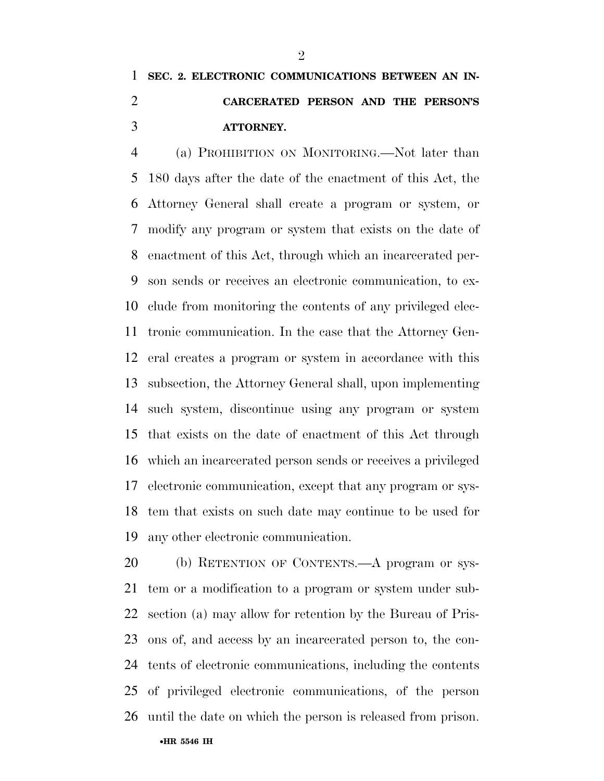## **SEC. 2. ELECTRONIC COMMUNICATIONS BETWEEN AN IN- CARCERATED PERSON AND THE PERSON'S ATTORNEY.**

 (a) PROHIBITION ON MONITORING.—Not later than 180 days after the date of the enactment of this Act, the Attorney General shall create a program or system, or modify any program or system that exists on the date of enactment of this Act, through which an incarcerated per- son sends or receives an electronic communication, to ex- clude from monitoring the contents of any privileged elec- tronic communication. In the case that the Attorney Gen- eral creates a program or system in accordance with this subsection, the Attorney General shall, upon implementing such system, discontinue using any program or system that exists on the date of enactment of this Act through which an incarcerated person sends or receives a privileged electronic communication, except that any program or sys- tem that exists on such date may continue to be used for any other electronic communication.

 (b) RETENTION OF CONTENTS.—A program or sys- tem or a modification to a program or system under sub- section (a) may allow for retention by the Bureau of Pris- ons of, and access by an incarcerated person to, the con- tents of electronic communications, including the contents of privileged electronic communications, of the person until the date on which the person is released from prison.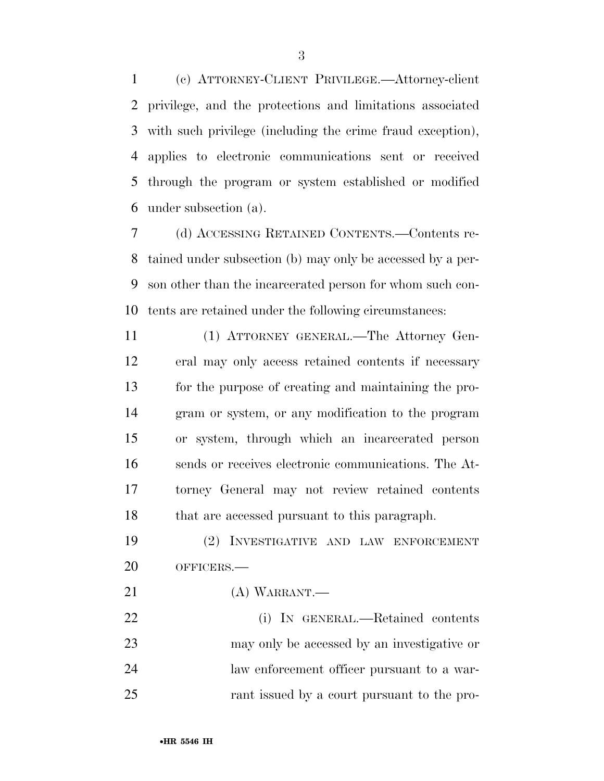(c) ATTORNEY-CLIENT PRIVILEGE.—Attorney-client privilege, and the protections and limitations associated with such privilege (including the crime fraud exception), applies to electronic communications sent or received through the program or system established or modified under subsection (a).

 (d) ACCESSING RETAINED CONTENTS.—Contents re- tained under subsection (b) may only be accessed by a per- son other than the incarcerated person for whom such con-tents are retained under the following circumstances:

 (1) ATTORNEY GENERAL.—The Attorney Gen- eral may only access retained contents if necessary for the purpose of creating and maintaining the pro- gram or system, or any modification to the program or system, through which an incarcerated person sends or receives electronic communications. The At- torney General may not review retained contents that are accessed pursuant to this paragraph.

 (2) INVESTIGATIVE AND LAW ENFORCEMENT OFFICERS.—

(A) WARRANT.—

 (i) IN GENERAL.—Retained contents may only be accessed by an investigative or law enforcement officer pursuant to a war-rant issued by a court pursuant to the pro-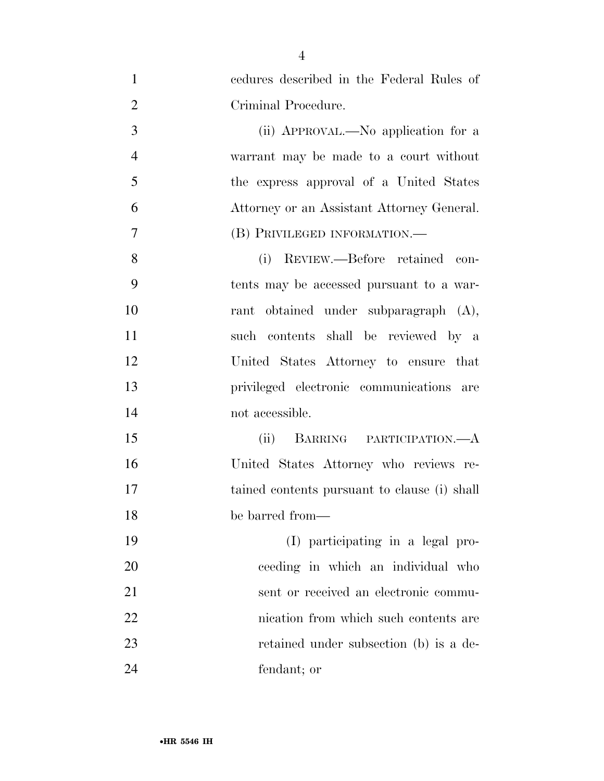| $\mathbf{1}$   | cedures described in the Federal Rules of    |
|----------------|----------------------------------------------|
| $\overline{2}$ | Criminal Procedure.                          |
| 3              | (ii) APPROVAL.—No application for a          |
| $\overline{4}$ | warrant may be made to a court without       |
| 5              | the express approval of a United States      |
| 6              | Attorney or an Assistant Attorney General.   |
| $\overline{7}$ | (B) PRIVILEGED INFORMATION.—                 |
| 8              | (i) REVIEW.—Before retained con-             |
| 9              | tents may be accessed pursuant to a war-     |
| 10             | rant obtained under subparagraph (A),        |
| 11             | such contents shall be reviewed by a         |
| 12             | United States Attorney to ensure that        |
| 13             | privileged electronic communications are     |
| 14             | not accessible.                              |
| 15             | BARRING PARTICIPATION.—A<br>(ii)             |
| 16             | United States Attorney who reviews re-       |
| 17             | tained contents pursuant to clause (i) shall |
| 18             | be barred from-                              |
| 19             | (I) participating in a legal pro-            |
| 20             | ceeding in which an individual who           |
| 21             | sent or received an electronic commu-        |
| 22             | nication from which such contents are        |
| 23             | retained under subsection (b) is a de-       |
| 24             | fendant; or                                  |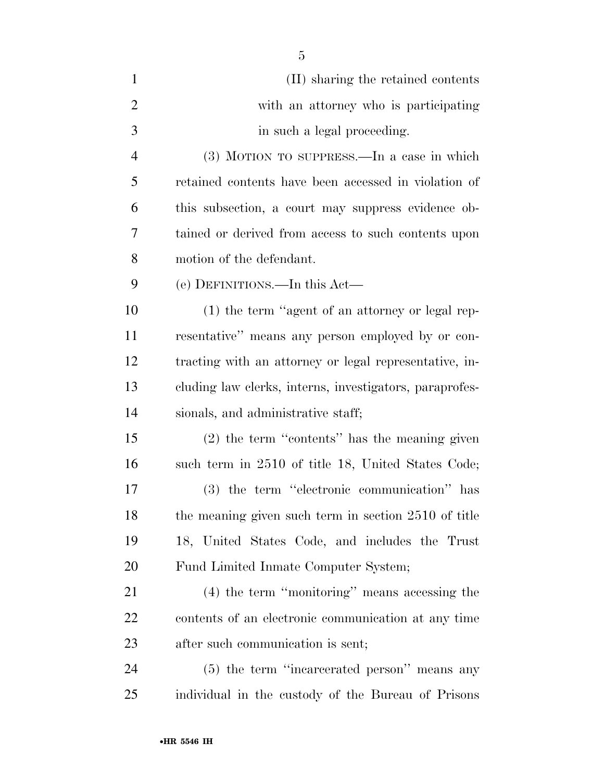| $\mathbf{1}$   | (II) sharing the retained contents                      |
|----------------|---------------------------------------------------------|
| $\overline{2}$ | with an attorney who is participating                   |
| 3              | in such a legal proceeding.                             |
| $\overline{4}$ | (3) MOTION TO SUPPRESS.—In a case in which              |
| 5              | retained contents have been accessed in violation of    |
| 6              | this subsection, a court may suppress evidence ob-      |
| 7              | tained or derived from access to such contents upon     |
| 8              | motion of the defendant.                                |
| 9              | (e) DEFINITIONS.—In this Act—                           |
| 10             | (1) the term "agent of an attorney or legal rep-        |
| 11             | resentative" means any person employed by or con-       |
| 12             | tracting with an attorney or legal representative, in-  |
| 13             | cluding law clerks, interns, investigators, paraprofes- |
| 14             | sionals, and administrative staff;                      |
| 15             | $(2)$ the term "contents" has the meaning given         |
| 16             | such term in 2510 of title 18, United States Code;      |
| 17             | (3) the term "electronic communication" has             |
| 18             | the meaning given such term in section 2510 of title    |
| 19             | 18, United States Code, and includes the Trust          |
| 20             | Fund Limited Inmate Computer System;                    |
| 21             | (4) the term "monitoring" means accessing the           |
| <u>22</u>      | contents of an electronic communication at any time     |
| 23             | after such communication is sent;                       |
| 24             | (5) the term "incarcerated person" means any            |
| 25             | individual in the custody of the Bureau of Prisons      |

•**HR 5546 IH**